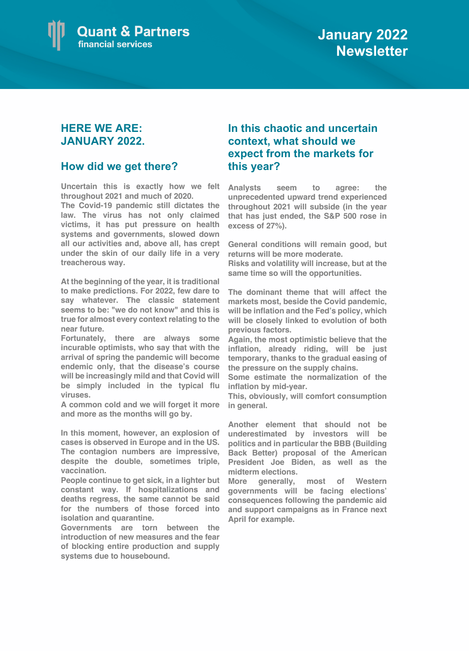

## **HERE WE ARE: JANUARY 2022.**

## **How did we get there?**

**Uncertain this is exactly how we felt throughout 2021 and much of 2020.**

**The Covid-19 pandemic still dictates the law. The virus has not only claimed victims, it has put pressure on health systems and governments, slowed down all our activities and, above all, has crept under the skin of our daily life in a very treacherous way.**

**At the beginning of the year, it is traditional to make predictions. For 2022, few dare to say whatever. The classic statement seems to be: "we do not know" and this is true for almost every context relating to the near future.**

**Fortunately, there are always some incurable optimists, who say that with the arrival of spring the pandemic will become endemic only, that the disease's course will be increasingly mild and that Covid will be simply included in the typical flu viruses.**

**A common cold and we will forget it more and more as the months will go by.**

**In this moment, however, an explosion of cases is observed in Europe and in the US. The contagion numbers are impressive, despite the double, sometimes triple, vaccination.** 

**People continue to get sick, in a lighter but constant way. If hospitalizations and deaths regress, the same cannot be said for the numbers of those forced into isolation and quarantine.** 

**Governments are torn between the introduction of new measures and the fear of blocking entire production and supply systems due to housebound.**

## **In this chaotic and uncertain context, what should we expect from the markets for this year?**

**Analysts seem to agree: the unprecedented upward trend experienced throughout 2021 will subside (in the year that has just ended, the S&P 500 rose in excess of 27%).** 

**General conditions will remain good, but returns will be more moderate.** 

**Risks and volatility will increase, but at the same time so will the opportunities.**

**The dominant theme that will affect the markets most, beside the Covid pandemic, will be inflation and the Fed's policy, which will be closely linked to evolution of both previous factors.** 

**Again, the most optimistic believe that the inflation, already riding, will be just temporary, thanks to the gradual easing of the pressure on the supply chains.** 

**Some estimate the normalization of the inflation by mid-year.**

**This, obviously, will comfort consumption in general.**

**Another element that should not be underestimated by investors will be politics and in particular the BBB (Building Back Better) proposal of the American President Joe Biden, as well as the midterm elections.** 

**More generally, most of Western governments will be facing elections' consequences following the pandemic aid and support campaigns as in France next April for example.**